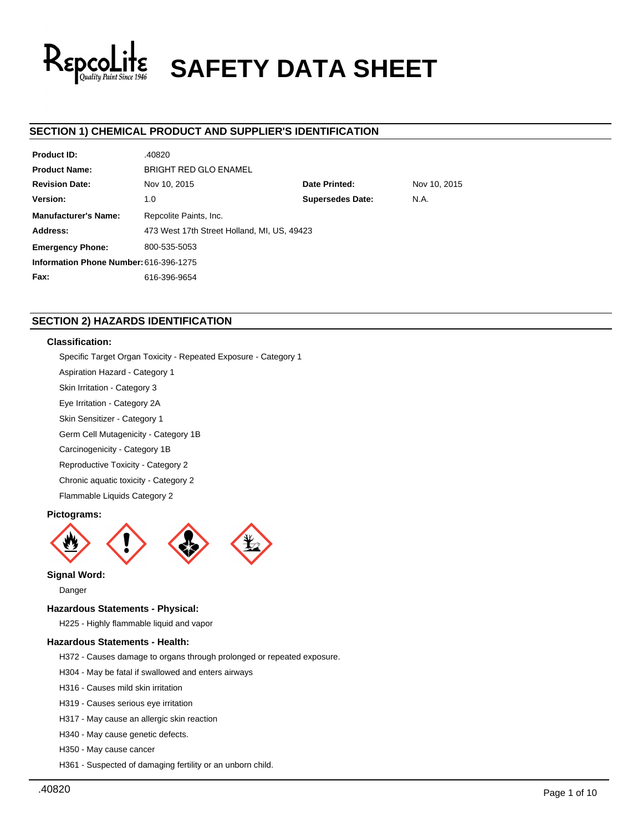

# **SAFETY DATA SHEET**

# **SECTION 1) CHEMICAL PRODUCT AND SUPPLIER'S IDENTIFICATION**

| <b>Product ID:</b>                     | .40820                                      |                         |              |  |  |
|----------------------------------------|---------------------------------------------|-------------------------|--------------|--|--|
| <b>Product Name:</b>                   | <b>BRIGHT RED GLO ENAMEL</b>                |                         |              |  |  |
| <b>Revision Date:</b>                  | Nov 10, 2015                                | Date Printed:           | Nov 10, 2015 |  |  |
| Version:                               | 1.0                                         | <b>Supersedes Date:</b> | N.A.         |  |  |
| <b>Manufacturer's Name:</b>            | Repcolite Paints, Inc.                      |                         |              |  |  |
| Address:                               | 473 West 17th Street Holland, MI, US, 49423 |                         |              |  |  |
| <b>Emergency Phone:</b>                | 800-535-5053                                |                         |              |  |  |
| Information Phone Number: 616-396-1275 |                                             |                         |              |  |  |
| Fax:                                   | 616-396-9654                                |                         |              |  |  |

# **SECTION 2) HAZARDS IDENTIFICATION**

# **Classification:**

Specific Target Organ Toxicity - Repeated Exposure - Category 1

- Aspiration Hazard Category 1
- Skin Irritation Category 3
- Eye Irritation Category 2A
- Skin Sensitizer Category 1
- Germ Cell Mutagenicity Category 1B
- Carcinogenicity Category 1B
- Reproductive Toxicity Category 2
- Chronic aquatic toxicity Category 2
- Flammable Liquids Category 2

# **Pictograms:**



## **Signal Word:**

Danger

## **Hazardous Statements - Physical:**

H225 - Highly flammable liquid and vapor

## **Hazardous Statements - Health:**

- H372 Causes damage to organs through prolonged or repeated exposure.
- H304 May be fatal if swallowed and enters airways
- H316 Causes mild skin irritation
- H319 Causes serious eye irritation
- H317 May cause an allergic skin reaction
- H340 May cause genetic defects.
- H350 May cause cancer
- H361 Suspected of damaging fertility or an unborn child.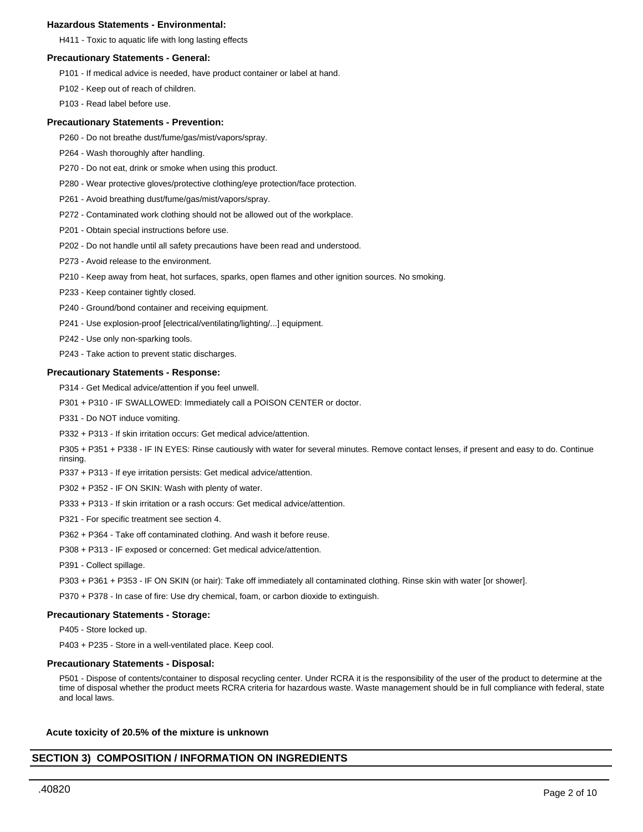## **Hazardous Statements - Environmental:**

H411 - Toxic to aquatic life with long lasting effects

## **Precautionary Statements - General:**

- P101 If medical advice is needed, have product container or label at hand.
- P102 Keep out of reach of children.
- P103 Read label before use.

#### **Precautionary Statements - Prevention:**

- P260 Do not breathe dust/fume/gas/mist/vapors/spray.
- P264 Wash thoroughly after handling.
- P270 Do not eat, drink or smoke when using this product.
- P280 Wear protective gloves/protective clothing/eye protection/face protection.
- P261 Avoid breathing dust/fume/gas/mist/vapors/spray.
- P272 Contaminated work clothing should not be allowed out of the workplace.
- P201 Obtain special instructions before use.
- P202 Do not handle until all safety precautions have been read and understood.
- P273 Avoid release to the environment.
- P210 Keep away from heat, hot surfaces, sparks, open flames and other ignition sources. No smoking.
- P233 Keep container tightly closed.
- P240 Ground/bond container and receiving equipment.
- P241 Use explosion-proof [electrical/ventilating/lighting/...] equipment.
- P242 Use only non-sparking tools.
- P243 Take action to prevent static discharges.

## **Precautionary Statements - Response:**

- P314 Get Medical advice/attention if you feel unwell.
- P301 + P310 IF SWALLOWED: Immediately call a POISON CENTER or doctor.
- P331 Do NOT induce vomiting.
- P332 + P313 If skin irritation occurs: Get medical advice/attention.

P305 + P351 + P338 - IF IN EYES: Rinse cautiously with water for several minutes. Remove contact lenses, if present and easy to do. Continue rinsing.

- P337 + P313 If eye irritation persists: Get medical advice/attention.
- P302 + P352 IF ON SKIN: Wash with plenty of water.
- P333 + P313 If skin irritation or a rash occurs: Get medical advice/attention.
- P321 For specific treatment see section 4.
- P362 + P364 Take off contaminated clothing. And wash it before reuse.
- P308 + P313 IF exposed or concerned: Get medical advice/attention.
- P391 Collect spillage.
- P303 + P361 + P353 IF ON SKIN (or hair): Take off immediately all contaminated clothing. Rinse skin with water [or shower].

P370 + P378 - In case of fire: Use dry chemical, foam, or carbon dioxide to extinguish.

## **Precautionary Statements - Storage:**

P405 - Store locked up.

P403 + P235 - Store in a well-ventilated place. Keep cool.

#### **Precautionary Statements - Disposal:**

P501 - Dispose of contents/container to disposal recycling center. Under RCRA it is the responsibility of the user of the product to determine at the time of disposal whether the product meets RCRA criteria for hazardous waste. Waste management should be in full compliance with federal, state and local laws.

## **Acute toxicity of 20.5% of the mixture is unknown**

# **SECTION 3) COMPOSITION / INFORMATION ON INGREDIENTS**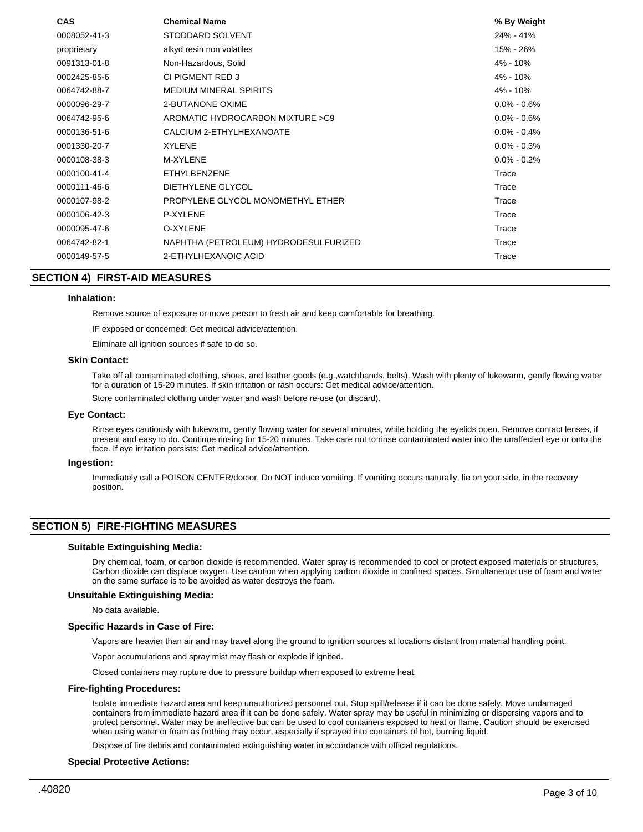| <b>CAS</b>   | <b>Chemical Name</b>                  | % By Weight     |
|--------------|---------------------------------------|-----------------|
| 0008052-41-3 | STODDARD SOLVENT                      | 24% - 41%       |
| proprietary  | alkyd resin non volatiles             | 15% - 26%       |
| 0091313-01-8 | Non-Hazardous, Solid                  | 4% - 10%        |
| 0002425-85-6 | CI PIGMENT RED 3                      | 4% - 10%        |
| 0064742-88-7 | <b>MEDIUM MINERAL SPIRITS</b>         | 4% - 10%        |
| 0000096-29-7 | 2-BUTANONE OXIME                      | $0.0\% - 0.6\%$ |
| 0064742-95-6 | AROMATIC HYDROCARBON MIXTURE > C9     | $0.0\% - 0.6\%$ |
| 0000136-51-6 | CALCIUM 2-ETHYLHEXANOATE              | $0.0\% - 0.4\%$ |
| 0001330-20-7 | <b>XYLENE</b>                         | $0.0\% - 0.3\%$ |
| 0000108-38-3 | <b>M-XYLENE</b>                       | $0.0\% - 0.2\%$ |
| 0000100-41-4 | ETHYLBENZENE                          | Trace           |
| 0000111-46-6 | DIETHYLENE GLYCOL                     | Trace           |
| 0000107-98-2 | PROPYLENE GLYCOL MONOMETHYL ETHER     | Trace           |
| 0000106-42-3 | P-XYLENE                              | Trace           |
| 0000095-47-6 | O-XYLENE                              | Trace           |
| 0064742-82-1 | NAPHTHA (PETROLEUM) HYDRODESULFURIZED | Trace           |
| 0000149-57-5 | 2-ETHYLHEXANOIC ACID                  | Trace           |

## **SECTION 4) FIRST-AID MEASURES**

#### **Inhalation:**

Remove source of exposure or move person to fresh air and keep comfortable for breathing.

IF exposed or concerned: Get medical advice/attention.

Eliminate all ignition sources if safe to do so.

#### **Skin Contact:**

Take off all contaminated clothing, shoes, and leather goods (e.g.,watchbands, belts). Wash with plenty of lukewarm, gently flowing water for a duration of 15-20 minutes. If skin irritation or rash occurs: Get medical advice/attention.

Store contaminated clothing under water and wash before re-use (or discard).

#### **Eye Contact:**

Rinse eyes cautiously with lukewarm, gently flowing water for several minutes, while holding the eyelids open. Remove contact lenses, if present and easy to do. Continue rinsing for 15-20 minutes. Take care not to rinse contaminated water into the unaffected eye or onto the face. If eye irritation persists: Get medical advice/attention.

#### **Ingestion:**

Immediately call a POISON CENTER/doctor. Do NOT induce vomiting. If vomiting occurs naturally, lie on your side, in the recovery position.

## **SECTION 5) FIRE-FIGHTING MEASURES**

#### **Suitable Extinguishing Media:**

Dry chemical, foam, or carbon dioxide is recommended. Water spray is recommended to cool or protect exposed materials or structures. Carbon dioxide can displace oxygen. Use caution when applying carbon dioxide in confined spaces. Simultaneous use of foam and water on the same surface is to be avoided as water destroys the foam.

#### **Unsuitable Extinguishing Media:**

No data available.

#### **Specific Hazards in Case of Fire:**

Vapors are heavier than air and may travel along the ground to ignition sources at locations distant from material handling point.

Vapor accumulations and spray mist may flash or explode if ignited.

Closed containers may rupture due to pressure buildup when exposed to extreme heat.

## **Fire-fighting Procedures:**

Isolate immediate hazard area and keep unauthorized personnel out. Stop spill/release if it can be done safely. Move undamaged containers from immediate hazard area if it can be done safely. Water spray may be useful in minimizing or dispersing vapors and to protect personnel. Water may be ineffective but can be used to cool containers exposed to heat or flame. Caution should be exercised when using water or foam as frothing may occur, especially if sprayed into containers of hot, burning liquid.

Dispose of fire debris and contaminated extinguishing water in accordance with official regulations.

#### **Special Protective Actions:**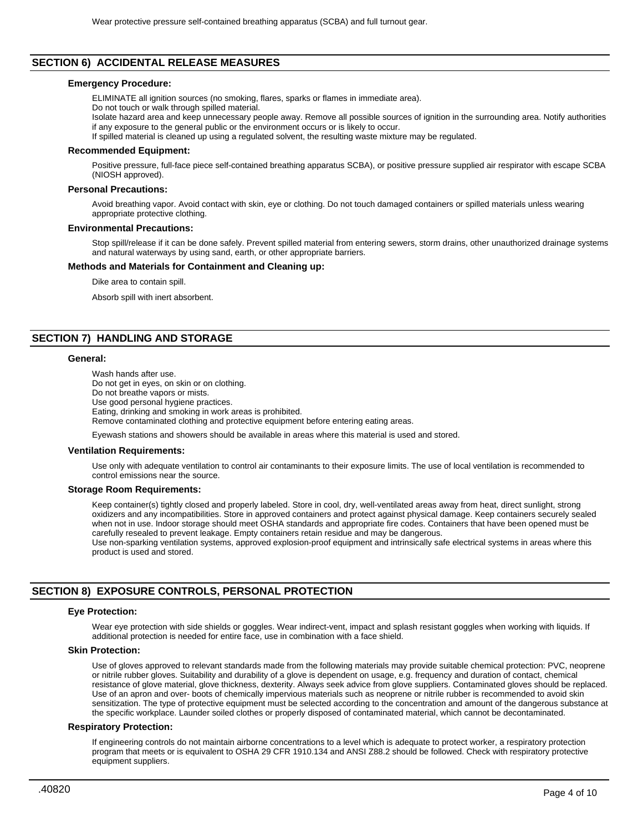# **SECTION 6) ACCIDENTAL RELEASE MEASURES**

#### **Emergency Procedure:**

ELIMINATE all ignition sources (no smoking, flares, sparks or flames in immediate area).

Do not touch or walk through spilled material.

Isolate hazard area and keep unnecessary people away. Remove all possible sources of ignition in the surrounding area. Notify authorities if any exposure to the general public or the environment occurs or is likely to occur.

If spilled material is cleaned up using a regulated solvent, the resulting waste mixture may be regulated.

#### **Recommended Equipment:**

Positive pressure, full-face piece self-contained breathing apparatus SCBA), or positive pressure supplied air respirator with escape SCBA (NIOSH approved).

## **Personal Precautions:**

Avoid breathing vapor. Avoid contact with skin, eye or clothing. Do not touch damaged containers or spilled materials unless wearing appropriate protective clothing.

#### **Environmental Precautions:**

Stop spill/release if it can be done safely. Prevent spilled material from entering sewers, storm drains, other unauthorized drainage systems and natural waterways by using sand, earth, or other appropriate barriers.

### **Methods and Materials for Containment and Cleaning up:**

Dike area to contain spill.

Absorb spill with inert absorbent.

## **SECTION 7) HANDLING AND STORAGE**

#### **General:**

Wash hands after use. Do not get in eyes, on skin or on clothing. Do not breathe vapors or mists. Use good personal hygiene practices. Eating, drinking and smoking in work areas is prohibited. Remove contaminated clothing and protective equipment before entering eating areas.

Eyewash stations and showers should be available in areas where this material is used and stored.

#### **Ventilation Requirements:**

Use only with adequate ventilation to control air contaminants to their exposure limits. The use of local ventilation is recommended to control emissions near the source.

#### **Storage Room Requirements:**

Keep container(s) tightly closed and properly labeled. Store in cool, dry, well-ventilated areas away from heat, direct sunlight, strong oxidizers and any incompatibilities. Store in approved containers and protect against physical damage. Keep containers securely sealed when not in use. Indoor storage should meet OSHA standards and appropriate fire codes. Containers that have been opened must be carefully resealed to prevent leakage. Empty containers retain residue and may be dangerous. Use non-sparking ventilation systems, approved explosion-proof equipment and intrinsically safe electrical systems in areas where this

product is used and stored.

## **SECTION 8) EXPOSURE CONTROLS, PERSONAL PROTECTION**

#### **Eye Protection:**

Wear eye protection with side shields or goggles. Wear indirect-vent, impact and splash resistant goggles when working with liquids. If additional protection is needed for entire face, use in combination with a face shield.

## **Skin Protection:**

Use of gloves approved to relevant standards made from the following materials may provide suitable chemical protection: PVC, neoprene or nitrile rubber gloves. Suitability and durability of a glove is dependent on usage, e.g. frequency and duration of contact, chemical resistance of glove material, glove thickness, dexterity. Always seek advice from glove suppliers. Contaminated gloves should be replaced. Use of an apron and over- boots of chemically impervious materials such as neoprene or nitrile rubber is recommended to avoid skin sensitization. The type of protective equipment must be selected according to the concentration and amount of the dangerous substance at the specific workplace. Launder soiled clothes or properly disposed of contaminated material, which cannot be decontaminated.

#### **Respiratory Protection:**

If engineering controls do not maintain airborne concentrations to a level which is adequate to protect worker, a respiratory protection program that meets or is equivalent to OSHA 29 CFR 1910.134 and ANSI Z88.2 should be followed. Check with respiratory protective equipment suppliers.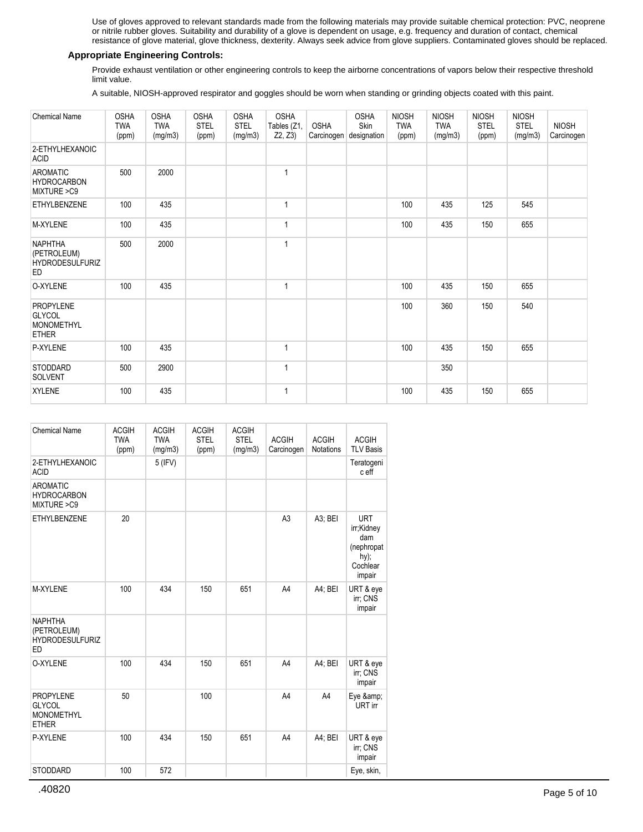Use of gloves approved to relevant standards made from the following materials may provide suitable chemical protection: PVC, neoprene or nitrile rubber gloves. Suitability and durability of a glove is dependent on usage, e.g. frequency and duration of contact, chemical resistance of glove material, glove thickness, dexterity. Always seek advice from glove suppliers. Contaminated gloves should be replaced.

## **Appropriate Engineering Controls:**

Provide exhaust ventilation or other engineering controls to keep the airborne concentrations of vapors below their respective threshold limit value.

A suitable, NIOSH-approved respirator and goggles should be worn when standing or grinding objects coated with this paint.

| <b>Chemical Name</b>                                                   | <b>OSHA</b><br><b>TWA</b><br>(ppm) | <b>OSHA</b><br><b>TWA</b><br>(mg/m3) | <b>OSHA</b><br><b>STEL</b><br>(ppm) | <b>OSHA</b><br><b>STEL</b><br>(mg/m3) | <b>OSHA</b><br>Tables (Z1,<br>Z2, Z3) | <b>OSHA</b> | <b>OSHA</b><br>Skin<br>Carcinogen designation | <b>NIOSH</b><br><b>TWA</b><br>(ppm) | <b>NIOSH</b><br><b>TWA</b><br>(mg/m3) | <b>NIOSH</b><br><b>STEL</b><br>(ppm) | <b>NIOSH</b><br><b>STEL</b><br>(mg/m3) | <b>NIOSH</b><br>Carcinogen |
|------------------------------------------------------------------------|------------------------------------|--------------------------------------|-------------------------------------|---------------------------------------|---------------------------------------|-------------|-----------------------------------------------|-------------------------------------|---------------------------------------|--------------------------------------|----------------------------------------|----------------------------|
| 2-ETHYLHEXANOIC<br><b>ACID</b>                                         |                                    |                                      |                                     |                                       |                                       |             |                                               |                                     |                                       |                                      |                                        |                            |
| <b>AROMATIC</b><br><b>HYDROCARBON</b><br>MIXTURE > C9                  | 500                                | 2000                                 |                                     |                                       | 1                                     |             |                                               |                                     |                                       |                                      |                                        |                            |
| ETHYLBENZENE                                                           | 100                                | 435                                  |                                     |                                       | 1                                     |             |                                               | 100                                 | 435                                   | 125                                  | 545                                    |                            |
| M-XYLENE                                                               | 100                                | 435                                  |                                     |                                       | 1                                     |             |                                               | 100                                 | 435                                   | 150                                  | 655                                    |                            |
| <b>NAPHTHA</b><br>(PETROLEUM)<br><b>HYDRODESULFURIZ</b><br><b>ED</b>   | 500                                | 2000                                 |                                     |                                       | 1                                     |             |                                               |                                     |                                       |                                      |                                        |                            |
| O-XYLENE                                                               | 100                                | 435                                  |                                     |                                       | 1                                     |             |                                               | 100                                 | 435                                   | 150                                  | 655                                    |                            |
| <b>PROPYLENE</b><br><b>GLYCOL</b><br><b>MONOMETHYL</b><br><b>ETHER</b> |                                    |                                      |                                     |                                       |                                       |             |                                               | 100                                 | 360                                   | 150                                  | 540                                    |                            |
| P-XYLENE                                                               | 100                                | 435                                  |                                     |                                       |                                       |             |                                               | 100                                 | 435                                   | 150                                  | 655                                    |                            |
| STODDARD<br><b>SOLVENT</b>                                             | 500                                | 2900                                 |                                     |                                       | 1                                     |             |                                               |                                     | 350                                   |                                      |                                        |                            |
| <b>XYLENE</b>                                                          | 100                                | 435                                  |                                     |                                       | 1                                     |             |                                               | 100                                 | 435                                   | 150                                  | 655                                    |                            |

| <b>Chemical Name</b>                                                   | <b>ACGIH</b><br><b>TWA</b><br>(ppm) | <b>ACGIH</b><br><b>TWA</b><br>(mg/m3) | <b>ACGIH</b><br><b>STEL</b><br>(ppm) | <b>ACGIH</b><br><b>STEL</b><br>(mg/m3) | <b>ACGIH</b><br>Carcinogen | <b>ACGIH</b><br>Notations | <b>ACGIH</b><br><b>TLV Basis</b>                                               |
|------------------------------------------------------------------------|-------------------------------------|---------------------------------------|--------------------------------------|----------------------------------------|----------------------------|---------------------------|--------------------------------------------------------------------------------|
| 2-ETHYLHEXANOIC<br><b>ACID</b>                                         |                                     | 5 (IFV)                               |                                      |                                        |                            |                           | Teratogeni<br>c eff                                                            |
| <b>AROMATIC</b><br><b>HYDROCARBON</b><br>MIXTURE >C9                   |                                     |                                       |                                      |                                        |                            |                           |                                                                                |
| ETHYLBENZENE                                                           | 20                                  |                                       |                                      |                                        | A <sub>3</sub>             | A3; BEI                   | <b>URT</b><br>irr;Kidney<br>dam<br>(nephropat<br>$hy)$ ;<br>Cochlear<br>impair |
| M-XYLENE                                                               | 100                                 | 434                                   | 150                                  | 651                                    | A4                         | A4; BEI                   | URT & eye<br>irr; CNS<br>impair                                                |
| <b>NAPHTHA</b><br>(PETROLEUM)<br><b>HYDRODESULFURIZ</b><br><b>ED</b>   |                                     |                                       |                                      |                                        |                            |                           |                                                                                |
| O-XYLENE                                                               | 100                                 | 434                                   | 150                                  | 651                                    | A4                         | A4; BEI                   | URT & eye<br>irr; CNS<br>impair                                                |
| <b>PROPYLENE</b><br><b>GLYCOL</b><br><b>MONOMETHYL</b><br><b>ETHER</b> | 50                                  |                                       | 100                                  |                                        | A4                         | A4                        | Eye &<br>URT irr                                                               |
| P-XYLENE                                                               | 100                                 | 434                                   | 150                                  | 651                                    | A4                         | A4; BEI                   | URT & eye<br>irr; CNS<br>impair                                                |
| <b>STODDARD</b>                                                        | 100                                 | 572                                   |                                      |                                        |                            |                           | Eye, skin,                                                                     |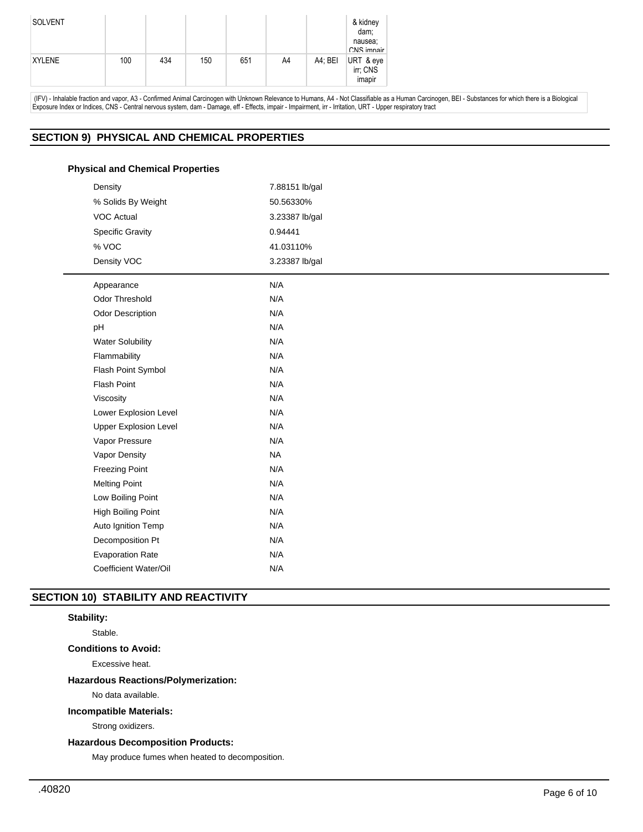| <b>SOLVENT</b> |     |     |     |     |    |         | & kidney<br>dam;<br>nausea;<br>CNS imnair |
|----------------|-----|-----|-----|-----|----|---------|-------------------------------------------|
| <b>XYLENE</b>  | 100 | 434 | 150 | 651 | A4 | A4; BEI | URT & eye<br>irr; CNS<br>imapir           |

 (IFV) - Inhalable fraction and vapor, A3 - Confirmed Animal Carcinogen with Unknown Relevance to Humans, A4 - Not Classifiable as a Human Carcinogen, BEI - Substances for which there is a Biological Exposure Index or Indices, CNS - Central nervous system, dam - Damage, eff - Effects, impair - Impairment, irr - Irritation, URT - Upper respiratory tract

# **SECTION 9) PHYSICAL AND CHEMICAL PROPERTIES**

## **Physical and Chemical Properties**

| Density                      | 7.88151 lb/gal |
|------------------------------|----------------|
| % Solids By Weight           | 50.56330%      |
| <b>VOC Actual</b>            | 3.23387 lb/gal |
| <b>Specific Gravity</b>      | 0.94441        |
| % VOC                        | 41.03110%      |
| Density VOC                  | 3.23387 lb/gal |
| Appearance                   | N/A            |
| Odor Threshold               | N/A            |
| <b>Odor Description</b>      | N/A            |
| pH                           | N/A            |
| <b>Water Solubility</b>      | N/A            |
| Flammability                 | N/A            |
| Flash Point Symbol           | N/A            |
| Flash Point                  | N/A            |
| Viscosity                    | N/A            |
| Lower Explosion Level        | N/A            |
| <b>Upper Explosion Level</b> | N/A            |
| Vapor Pressure               | N/A            |
| Vapor Density                | <b>NA</b>      |
| <b>Freezing Point</b>        | N/A            |
| <b>Melting Point</b>         | N/A            |
| Low Boiling Point            | N/A            |
| <b>High Boiling Point</b>    | N/A            |
| Auto Ignition Temp           | N/A            |
| Decomposition Pt             | N/A            |
| <b>Evaporation Rate</b>      | N/A            |
| Coefficient Water/Oil        | N/A            |

# **SECTION 10) STABILITY AND REACTIVITY**

# **Stability:**

Stable.

# **Conditions to Avoid:**

Excessive heat.

## **Hazardous Reactions/Polymerization:**

No data available.

## **Incompatible Materials:**

Strong oxidizers.

# **Hazardous Decomposition Products:**

May produce fumes when heated to decomposition.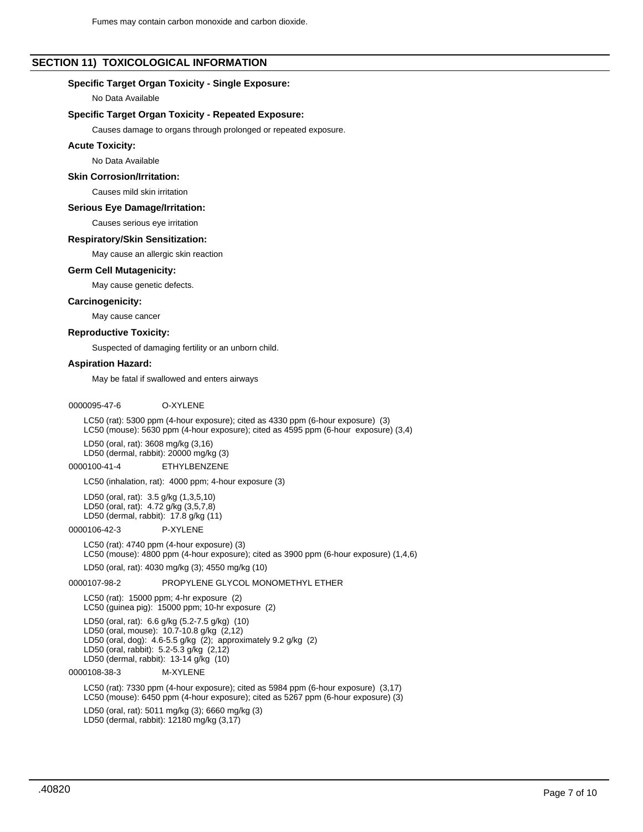# **SECTION 11) TOXICOLOGICAL INFORMATION**

## **Specific Target Organ Toxicity - Single Exposure:**

No Data Available

#### **Specific Target Organ Toxicity - Repeated Exposure:**

Causes damage to organs through prolonged or repeated exposure.

#### **Acute Toxicity:**

No Data Available

#### **Skin Corrosion/Irritation:**

Causes mild skin irritation

### **Serious Eye Damage/Irritation:**

Causes serious eye irritation

#### **Respiratory/Skin Sensitization:**

May cause an allergic skin reaction

#### **Germ Cell Mutagenicity:**

May cause genetic defects.

#### **Carcinogenicity:**

May cause cancer

#### **Reproductive Toxicity:**

Suspected of damaging fertility or an unborn child.

## **Aspiration Hazard:**

May be fatal if swallowed and enters airways

# 0000095-47-6 O-XYLENE

LC50 (rat): 5300 ppm (4-hour exposure); cited as 4330 ppm (6-hour exposure) (3) LC50 (mouse): 5630 ppm (4-hour exposure); cited as 4595 ppm (6-hour exposure) (3,4)

LD50 (oral, rat): 3608 mg/kg (3,16) LD50 (dermal, rabbit): 20000 mg/kg (3)

0000100-41-4 ETHYLBENZENE

#### LC50 (inhalation, rat): 4000 ppm; 4-hour exposure (3)

LD50 (oral, rat): 3.5 g/kg (1,3,5,10) LD50 (oral, rat): 4.72 g/kg (3,5,7,8) LD50 (dermal, rabbit): 17.8 g/kg (11)

#### 0000106-42-3 P-XYLENE

LC50 (rat): 4740 ppm (4-hour exposure) (3) LC50 (mouse): 4800 ppm (4-hour exposure); cited as 3900 ppm (6-hour exposure) (1,4,6)

LD50 (oral, rat): 4030 mg/kg (3); 4550 mg/kg (10)

## 0000107-98-2 PROPYLENE GLYCOL MONOMETHYL ETHER

LC50 (rat): 15000 ppm; 4-hr exposure (2) LC50 (guinea pig): 15000 ppm; 10-hr exposure (2)

LD50 (oral, rat): 6.6 g/kg (5.2-7.5 g/kg) (10) LD50 (oral, mouse): 10.7-10.8 g/kg (2,12) LD50 (oral, dog): 4.6-5.5 g/kg (2); approximately 9.2 g/kg (2) LD50 (oral, rabbit): 5.2-5.3 g/kg (2,12) LD50 (dermal, rabbit): 13-14 g/kg (10)

# 0000108-38-3 M-XYLENE

LC50 (rat): 7330 ppm (4-hour exposure); cited as 5984 ppm (6-hour exposure) (3,17) LC50 (mouse): 6450 ppm (4-hour exposure); cited as 5267 ppm (6-hour exposure) (3)

LD50 (oral, rat): 5011 mg/kg (3); 6660 mg/kg (3) LD50 (dermal, rabbit): 12180 mg/kg (3,17)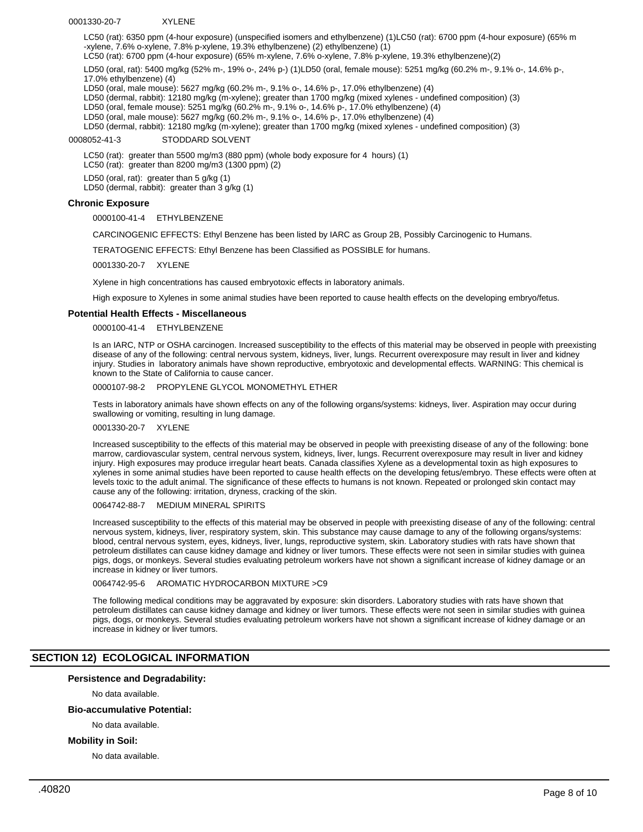#### 0001330-20-7 XYLENE

LC50 (rat): 6350 ppm (4-hour exposure) (unspecified isomers and ethylbenzene) (1)LC50 (rat): 6700 ppm (4-hour exposure) (65% m -xylene, 7.6% o-xylene, 7.8% p-xylene, 19.3% ethylbenzene) (2) ethylbenzene) (1)

LC50 (rat): 6700 ppm (4-hour exposure) (65% m-xylene, 7.6% o-xylene, 7.8% p-xylene, 19.3% ethylbenzene)(2)

LD50 (oral, rat): 5400 mg/kg (52% m-, 19% o-, 24% p-) (1)LD50 (oral, female mouse): 5251 mg/kg (60.2% m-, 9.1% o-, 14.6% p-, 17.0% ethylbenzene) (4)

LD50 (oral, male mouse): 5627 mg/kg (60.2% m-, 9.1% o-, 14.6% p-, 17.0% ethylbenzene) (4)

LD50 (dermal, rabbit): 12180 mg/kg (m-xylene); greater than 1700 mg/kg (mixed xylenes - undefined composition) (3)

LD50 (oral, female mouse): 5251 mg/kg (60.2% m-, 9.1% o-, 14.6% p-, 17.0% ethylbenzene) (4)

LD50 (oral, male mouse): 5627 mg/kg (60.2% m-, 9.1% o-, 14.6% p-, 17.0% ethylbenzene) (4)

LD50 (dermal, rabbit): 12180 mg/kg (m-xylene); greater than 1700 mg/kg (mixed xylenes - undefined composition) (3)

0008052-41-3 STODDARD SOLVENT

LC50 (rat): greater than 5500 mg/m3 (880 ppm) (whole body exposure for 4 hours) (1)

LC50 (rat): greater than 8200 mg/m3 (1300 ppm) (2)

LD50 (oral, rat): greater than 5 g/kg (1)

LD50 (dermal, rabbit): greater than 3 g/kg (1)

## **Chronic Exposure**

0000100-41-4 ETHYLBENZENE

CARCINOGENIC EFFECTS: Ethyl Benzene has been listed by IARC as Group 2B, Possibly Carcinogenic to Humans.

TERATOGENIC EFFECTS: Ethyl Benzene has been Classified as POSSIBLE for humans.

0001330-20-7 XYLENE

Xylene in high concentrations has caused embryotoxic effects in laboratory animals.

High exposure to Xylenes in some animal studies have been reported to cause health effects on the developing embryo/fetus.

## **Potential Health Effects - Miscellaneous**

0000100-41-4 ETHYLBENZENE

Is an IARC, NTP or OSHA carcinogen. Increased susceptibility to the effects of this material may be observed in people with preexisting disease of any of the following: central nervous system, kidneys, liver, lungs. Recurrent overexposure may result in liver and kidney injury. Studies in laboratory animals have shown reproductive, embryotoxic and developmental effects. WARNING: This chemical is known to the State of California to cause cancer.

0000107-98-2 PROPYLENE GLYCOL MONOMETHYL ETHER

Tests in laboratory animals have shown effects on any of the following organs/systems: kidneys, liver. Aspiration may occur during swallowing or vomiting, resulting in lung damage.

#### 0001330-20-7 XYLENE

Increased susceptibility to the effects of this material may be observed in people with preexisting disease of any of the following: bone marrow, cardiovascular system, central nervous system, kidneys, liver, lungs. Recurrent overexposure may result in liver and kidney injury. High exposures may produce irregular heart beats. Canada classifies Xylene as a developmental toxin as high exposures to xylenes in some animal studies have been reported to cause health effects on the developing fetus/embryo. These effects were often at levels toxic to the adult animal. The significance of these effects to humans is not known. Repeated or prolonged skin contact may cause any of the following: irritation, dryness, cracking of the skin.

0064742-88-7 MEDIUM MINERAL SPIRITS

Increased susceptibility to the effects of this material may be observed in people with preexisting disease of any of the following: central nervous system, kidneys, liver, respiratory system, skin. This substance may cause damage to any of the following organs/systems: blood, central nervous system, eyes, kidneys, liver, lungs, reproductive system, skin. Laboratory studies with rats have shown that petroleum distillates can cause kidney damage and kidney or liver tumors. These effects were not seen in similar studies with guinea pigs, dogs, or monkeys. Several studies evaluating petroleum workers have not shown a significant increase of kidney damage or an increase in kidney or liver tumors.

0064742-95-6 AROMATIC HYDROCARBON MIXTURE >C9

The following medical conditions may be aggravated by exposure: skin disorders. Laboratory studies with rats have shown that petroleum distillates can cause kidney damage and kidney or liver tumors. These effects were not seen in similar studies with guinea pigs, dogs, or monkeys. Several studies evaluating petroleum workers have not shown a significant increase of kidney damage or an increase in kidney or liver tumors.

## **SECTION 12) ECOLOGICAL INFORMATION**

## **Persistence and Degradability:**

No data available.

### **Bio-accumulative Potential:**

No data available.

#### **Mobility in Soil:**

No data available.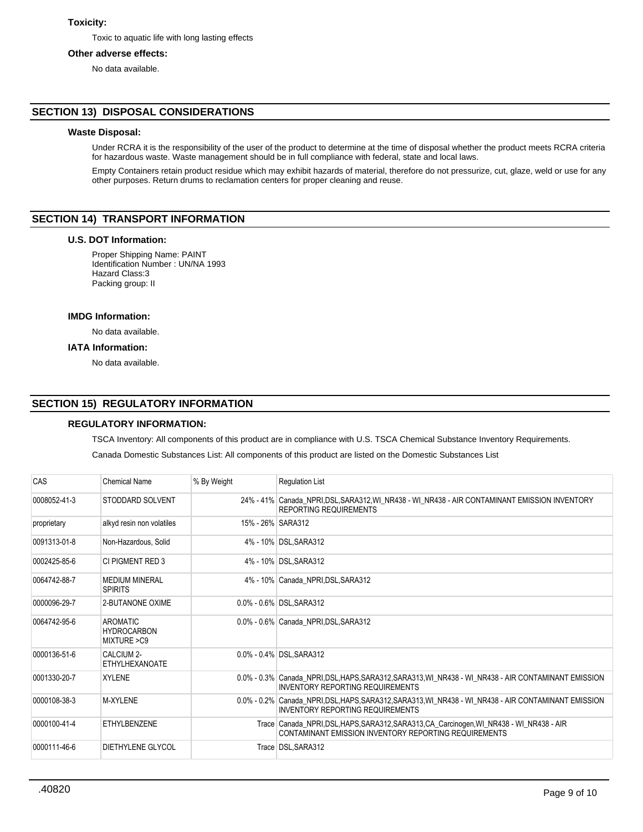# **Toxicity:**

Toxic to aquatic life with long lasting effects

## **Other adverse effects:**

No data available.

## **SECTION 13) DISPOSAL CONSIDERATIONS**

## **Waste Disposal:**

Under RCRA it is the responsibility of the user of the product to determine at the time of disposal whether the product meets RCRA criteria for hazardous waste. Waste management should be in full compliance with federal, state and local laws.

Empty Containers retain product residue which may exhibit hazards of material, therefore do not pressurize, cut, glaze, weld or use for any other purposes. Return drums to reclamation centers for proper cleaning and reuse.

# **SECTION 14) TRANSPORT INFORMATION**

## **U.S. DOT Information:**

Proper Shipping Name: PAINT Identification Number : UN/NA 1993 Hazard Class:3 Packing group: II

#### **IMDG Information:**

No data available.

## **IATA Information:**

No data available.

## **SECTION 15) REGULATORY INFORMATION**

## **REGULATORY INFORMATION:**

TSCA Inventory: All components of this product are in compliance with U.S. TSCA Chemical Substance Inventory Requirements.

Canada Domestic Substances List: All components of this product are listed on the Domestic Substances List

| <b>CAS</b>   | <b>Chemical Name</b>                                  | % By Weight       | <b>Requlation List</b>                                                                                                                          |
|--------------|-------------------------------------------------------|-------------------|-------------------------------------------------------------------------------------------------------------------------------------------------|
| 0008052-41-3 | STODDARD SOLVENT                                      |                   | 24% - 41% Canada_NPRI,DSL,SARA312,WI_NR438 - WI_NR438 - AIR CONTAMINANT EMISSION INVENTORY<br><b>REPORTING REQUIREMENTS</b>                     |
| proprietary  | alkyd resin non volatiles                             | 15% - 26% SARA312 |                                                                                                                                                 |
| 0091313-01-8 | Non-Hazardous, Solid                                  |                   | 4% - 10% DSL, SARA312                                                                                                                           |
| 0002425-85-6 | CI PIGMENT RED 3                                      |                   | 4% - 10% DSL, SARA312                                                                                                                           |
| 0064742-88-7 | <b>MEDIUM MINERAL</b><br><b>SPIRITS</b>               |                   | 4% - 10% Canada NPRI, DSL, SARA312                                                                                                              |
| 0000096-29-7 | 2-BUTANONE OXIME                                      |                   | 0.0% - 0.6% DSL, SARA312                                                                                                                        |
| 0064742-95-6 | <b>AROMATIC</b><br><b>HYDROCARBON</b><br>MIXTURE > C9 |                   | 0.0% - 0.6% Canada NPRI DSL SARA312                                                                                                             |
| 0000136-51-6 | CALCIUM 2-<br><b>ETHYLHEXANOATE</b>                   |                   | 0.0% - 0.4% DSL, SARA312                                                                                                                        |
| 0001330-20-7 | <b>XYLENE</b>                                         |                   | 0.0% - 0.3% Canada_NPRI,DSL,HAPS,SARA312,SARA313,WI_NR438 - WI_NR438 - AIR CONTAMINANT EMISSION<br><b>INVENTORY REPORTING REQUIREMENTS</b>      |
| 0000108-38-3 | <b>M-XYLENE</b>                                       |                   | 0.0% - 0.2% Canada NPRI, DSL, HAPS, SARA312, SARA313, WI NR438 - WI NR438 - AIR CONTAMINANT EMISSION<br><b>INVENTORY REPORTING REQUIREMENTS</b> |
| 0000100-41-4 | <b>ETHYLBENZENE</b>                                   |                   | Trace Canada_NPRI,DSL,HAPS,SARA312,SARA313,CA_Carcinogen,WI_NR438 - WI_NR438 - AIR<br>CONTAMINANT EMISSION INVENTORY REPORTING REQUIREMENTS     |
| 0000111-46-6 | DIETHYLENE GLYCOL                                     |                   | Trace DSL, SARA312                                                                                                                              |